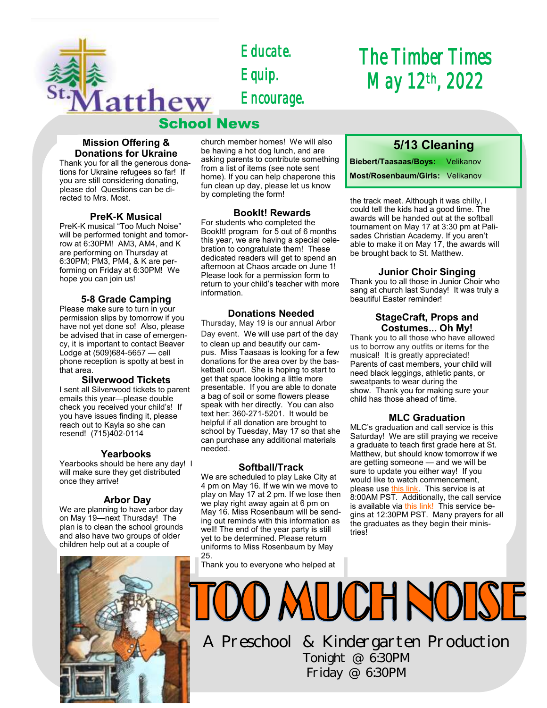

*Educate. Equip. Encourage.* 

## School News

## **Mission Offering & Donations for Ukraine**

Thank you for all the generous donations for Ukraine refugees so far! If you are still considering donating, please do! Questions can be directed to Mrs. Most.

### **PreK-K Musical**

PreK-K musical "Too Much Noise" will be performed tonight and tomorrow at 6:30PM! AM3, AM4, and K are performing on Thursday at 6:30PM; PM3, PM4, & K are performing on Friday at 6:30PM! We hope you can join us!

### **5-8 Grade Camping**

Please make sure to turn in your permission slips by tomorrow if you have not yet done so! Also, please be advised that in case of emergency, it is important to contact Beaver Lodge at (509)684-5657 — cell phone reception is spotty at best in that area.

#### **Silverwood Tickets**

I sent all Silverwood tickets to parent emails this year—please double check you received your child's! If you have issues finding it, please reach out to Kayla so she can resend! (715)402-0114

## **Yearbooks**

Yearbooks should be here any day! I will make sure they get distributed once they arrive!

## **Arbor Day**

We are planning to have arbor day on May 19—next Thursday! The plan is to clean the school grounds and also have two groups of older children help out at a couple of



church member homes! We will also be having a hot dog lunch, and are asking parents to contribute something from a list of items (see note sent home). If you can help chaperone this fun clean up day, please let us know by completing the form!

#### **BookIt! Rewards**

For students who completed the BookIt! program for 5 out of 6 months this year, we are having a special celebration to congratulate them! These dedicated readers will get to spend an afternoon at Chaos arcade on June 1! Please look for a permission form to return to your child's teacher with more information.

### **Donations Needed**

Thursday, May 19 is our annual Arbor

Day event. We will use part of the day to clean up and beautify our campus. Miss Taasaas is looking for a few donations for the area over by the basketball court. She is hoping to start to get that space looking a little more presentable. If you are able to donate a bag of soil or some flowers please speak with her directly. You can also text her: 360-271-5201. It would be helpful if all donation are brought to school by Tuesday, May 17 so that she can purchase any additional materials needed.

## **Softball/Track**

We are scheduled to play Lake City at 4 pm on May 16. If we win we move to play on May 17 at 2 pm. If we lose then we play right away again at 6 pm on May 16. Miss Rosenbaum will be sending out reminds with this information as well! The end of the year party is still yet to be determined. Please return uniforms to Miss Rosenbaum by May 25.

Thank you to everyone who helped at

# *The Timber Times May 12th, 2022*

## **5/13 Cleaning**

**Biebert/Taasaas/Boys:** Velikanov **Most/Rosenbaum/Girls:** Velikanov

the track meet. Although it was chilly, I could tell the kids had a good time. The awards will be handed out at the softball tournament on May 17 at 3:30 pm at Palisades Christian Academy. If you aren't able to make it on May 17, the awards will be brought back to St. Matthew.

## **Junior Choir Singing**

Thank you to all those in Junior Choir who sang at church last Sunday! It was truly a beautiful Easter reminder!

### **StageCraft, Props and Costumes... Oh My!**

Thank you to all those who have allowed us to borrow any outfits or items for the musical! It is greatly appreciated! Parents of cast members, your child will need black leggings, athletic pants, or sweatpants to wear during the show. Thank you for making sure your child has those ahead of time.

## **MLC Graduation**

MLC's graduation and call service is this Saturday! We are still praying we receive a graduate to teach first grade here at St. Matthew, but should know tomorrow if we are getting someone — and we will be sure to update you either way! If you would like to watch commencement, please use [this link.](https://livestream.com/mlc-streams/events/10388644) This service is at 8:00AM PST. Additionally, the call service is available via [this link!](https://livestream.com/mlc-streams/events/10388649) This service begins at 12:30PM PST. Many prayers for all the graduates as they begin their ministries!

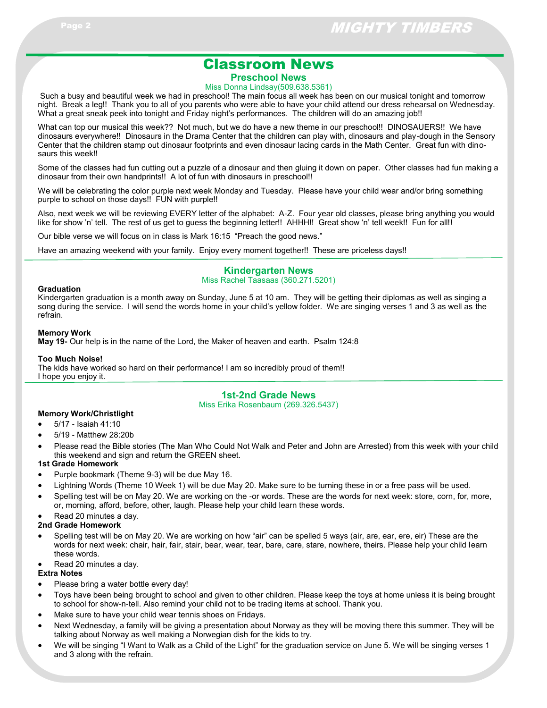## Classroom News

**Preschool News**

#### Miss Donna Lindsay(509.638.5361)

Such a busy and beautiful week we had in preschool! The main focus all week has been on our musical tonight and tomorrow night. Break a leg!! Thank you to all of you parents who were able to have your child attend our dress rehearsal on Wednesday. What a great sneak peek into tonight and Friday night's performances. The children will do an amazing job!!

What can top our musical this week?? Not much, but we do have a new theme in our preschool!! DINOSAUERS!! We have dinosaurs everywhere!! Dinosaurs in the Drama Center that the children can play with, dinosaurs and play-dough in the Sensory Center that the children stamp out dinosaur footprints and even dinosaur lacing cards in the Math Center. Great fun with dinosaurs this week!!

Some of the classes had fun cutting out a puzzle of a dinosaur and then gluing it down on paper. Other classes had fun making a dinosaur from their own handprints!! A lot of fun with dinosaurs in preschool!!

We will be celebrating the color purple next week Monday and Tuesday. Please have your child wear and/or bring something purple to school on those days!! FUN with purple!!

Also, next week we will be reviewing EVERY letter of the alphabet: A-Z. Four year old classes, please bring anything you would like for show 'n' tell. The rest of us get to guess the beginning letter!! AHHH!! Great show 'n' tell week!! Fun for all!!

Our bible verse we will focus on in class is Mark 16:15 "Preach the good news."

Have an amazing weekend with your family. Enjoy every moment together!! These are priceless days!!

#### **Kindergarten News** Miss Rachel Taasaas (360.271.5201)

#### **Graduation**

Kindergarten graduation is a month away on Sunday, June 5 at 10 am. They will be getting their diplomas as well as singing a song during the service. I will send the words home in your child's yellow folder. We are singing verses 1 and 3 as well as the refrain.

#### **Memory Work**

**May 19-** Our help is in the name of the Lord, the Maker of heaven and earth. Psalm 124:8

**Too Much Noise!**

The kids have worked so hard on their performance! I am so incredibly proud of them!! I hope you enjoy it.

## **1st-2nd Grade News**

Miss Erika Rosenbaum (269.326.5437)

#### **Memory Work/Christlight**

- 5/17 Isaiah 41:10
- 5/19 Matthew 28:20b
- Please read the Bible stories (The Man Who Could Not Walk and Peter and John are Arrested) from this week with your child this weekend and sign and return the GREEN sheet.

#### **1st Grade Homework**

- Purple bookmark (Theme 9-3) will be due May 16.
- Lightning Words (Theme 10 Week 1) will be due May 20. Make sure to be turning these in or a free pass will be used.
- Spelling test will be on May 20. We are working on the -or words. These are the words for next week: store, corn, for, more, or, morning, afford, before, other, laugh. Please help your child learn these words.

## Read 20 minutes a day.

#### **2nd Grade Homework**

 Spelling test will be on May 20. We are working on how "air" can be spelled 5 ways (air, are, ear, ere, eir) These are the words for next week: chair, hair, fair, stair, bear, wear, tear, bare, care, stare, nowhere, theirs. Please help your child learn these words.

## Read 20 minutes a day.

#### **Extra Notes**

- Please bring a water bottle every day!
- Toys have been being brought to school and given to other children. Please keep the toys at home unless it is being brought to school for show-n-tell. Also remind your child not to be trading items at school. Thank you.
- Make sure to have your child wear tennis shoes on Fridays.
- Next Wednesday, a family will be giving a presentation about Norway as they will be moving there this summer. They will be talking about Norway as well making a Norwegian dish for the kids to try.
- We will be singing "I Want to Walk as a Child of the Light" for the graduation service on June 5. We will be singing verses 1 and 3 along with the refrain.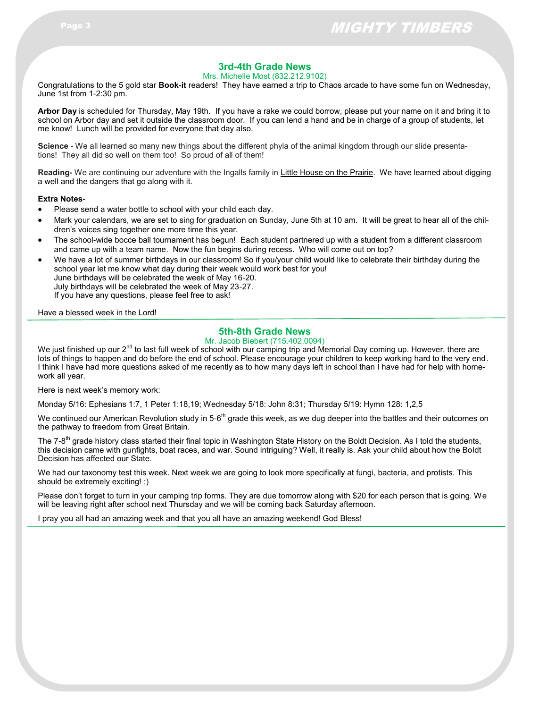## **3rd-4th Grade News**

Mrs. Michelle Most (832.212.9102)

Congratulations to the 5 gold star **Book-it** readers! They have earned a trip to Chaos arcade to have some fun on Wednesday, June 1st from 1-2:30 pm.

**Arbor Day** is scheduled for Thursday, May 19th. If you have a rake we could borrow, please put your name on it and bring it to school on Arbor day and set it outside the classroom door. If you can lend a hand and be in charge of a group of students, let me know! Lunch will be provided for everyone that day also.

**Science -** We all learned so many new things about the different phyla of the animal kingdom through our slide presentations! They all did so well on them too! So proud of all of them!

**Reading-** We are continuing our adventure with the Ingalls family in Little House on the Prairie. We have learned about digging a well and the dangers that go along with it.

#### **Extra Notes**-

- Please send a water bottle to school with your child each day.
- Mark your calendars, we are set to sing for graduation on Sunday, June 5th at 10 am. It will be great to hear all of the children's voices sing together one more time this year.
- The school-wide bocce ball tournament has begun! Each student partnered up with a student from a different classroom and came up with a team name. Now the fun begins during recess. Who will come out on top?
- We have a lot of summer birthdays in our classroom! So if you/your child would like to celebrate their birthday during the school year let me know what day during their week would work best for you! June birthdays will be celebrated the week of May 16-20. July birthdays will be celebrated the week of May 23-27. If you have any questions, please feel free to ask!

Have a blessed week in the Lord!

## **5th-8th Grade News**

Mr. Jacob Biebert (715.402.0094)

We just finished up our  $2<sup>nd</sup>$  to last full week of school with our camping trip and Memorial Day coming up. However, there are lots of things to happen and do before the end of school. Please encourage your children to keep working hard to the very end. I think I have had more questions asked of me recently as to how many days left in school than I have had for help with homework all year.

Here is next week's memory work:

Monday 5/16: Ephesians 1:7, 1 Peter 1:18,19; Wednesday 5/18: John 8:31; Thursday 5/19: Hymn 128: 1,2,5

We continued our American Revolution study in 5-6<sup>th</sup> grade this week, as we dug deeper into the battles and their outcomes on the pathway to freedom from Great Britain.

The 7-8<sup>th</sup> grade history class started their final topic in Washington State History on the Boldt Decision. As I told the students, this decision came with gunfights, boat races, and war. Sound intriguing? Well, it really is. Ask your child about how the Boldt Decision has affected our State.

We had our taxonomy test this week. Next week we are going to look more specifically at fungi, bacteria, and protists. This should be extremely exciting! ;)

Please don't forget to turn in your camping trip forms. They are due tomorrow along with \$20 for each person that is going. We will be leaving right after school next Thursday and we will be coming back Saturday afternoon.

I pray you all had an amazing week and that you all have an amazing weekend! God Bless!